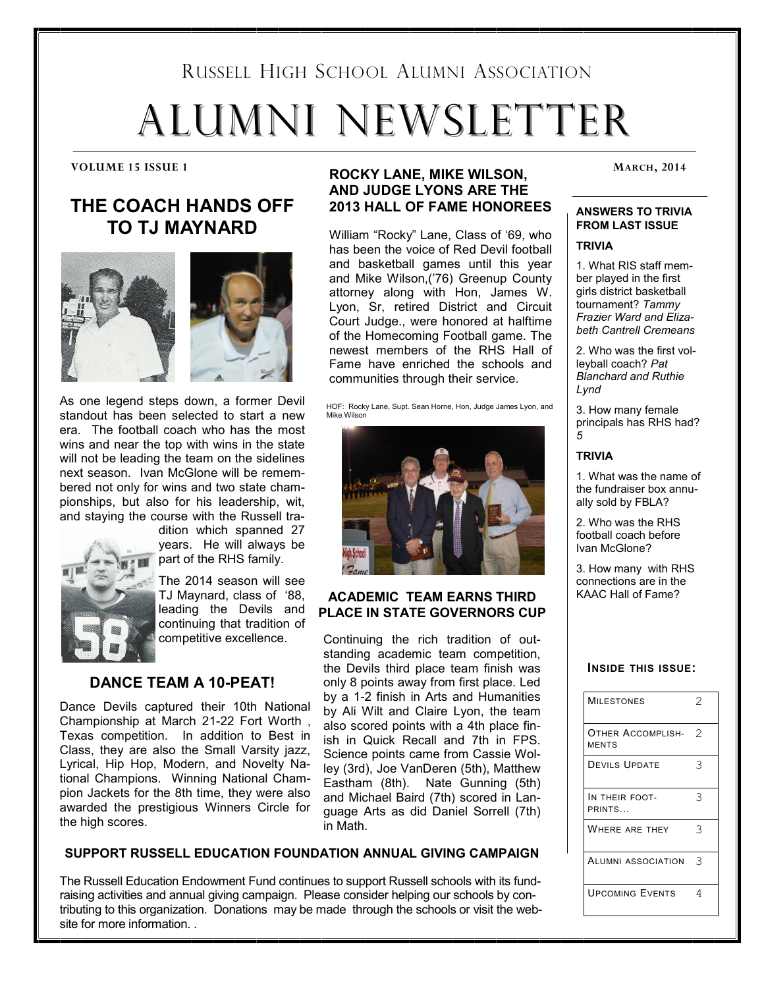# RUSSELL HIGH SCHOOL ALUMNI ASSOCIATION ALUMNI NEWSLETTER

# **THE COACH HANDS OFF TO TJ MAYNARD**



As one legend steps down, a former Devil standout has been selected to start a new era. The football coach who has the most wins and near the top with wins in the state will not be leading the team on the sidelines next season. Ivan McGlone will be remembered not only for wins and two state championships, but also for his leadership, wit, and staying the course with the Russell tra-



dition which spanned 27 years. He will always be part of the RHS family.

The 2014 season will see TJ Maynard, class of '88, leading the Devils and continuing that tradition of competitive excellence.

# **DANCE TEAM A 10-PEAT!**

Dance Devils captured their 10th National Championship at March 21-22 Fort Worth , Texas competition. In addition to Best in Class, they are also the Small Varsity jazz, Lyrical, Hip Hop, Modern, and Novelty National Champions. Winning National Champion Jackets for the 8th time, they were also awarded the prestigious Winners Circle for the high scores.

# VOLUME 15 ISSUE 1 **ROCKY LANE, MIKE WILSON,** MARCH, 2014 **AND JUDGE LYONS ARE THE 2013 HALL OF FAME HONOREES**

William "Rocky" Lane, Class of '69, who has been the voice of Red Devil football and basketball games until this year and Mike Wilson,('76) Greenup County attorney along with Hon, James W. Lyon, Sr, retired District and Circuit Court Judge., were honored at halftime of the Homecoming Football game. The newest members of the RHS Hall of Fame have enriched the schools and communities through their service.

HOF: Rocky Lane, Supt. Sean Horne, Hon, Judge James Lyon, and Mike Wilson



#### **ACADEMIC TEAM EARNS THIRD PLACE IN STATE GOVERNORS CUP**

Continuing the rich tradition of outstanding academic team competition, the Devils third place team finish was only 8 points away from first place. Led by a 1-2 finish in Arts and Humanities by Ali Wilt and Claire Lyon, the team also scored points with a 4th place finish in Quick Recall and 7th in FPS. Science points came from Cassie Wolley (3rd), Joe VanDeren (5th), Matthew Eastham (8th). Nate Gunning (5th) and Michael Baird (7th) scored in Language Arts as did Daniel Sorrell (7th) in Math.

#### **SUPPORT RUSSELL EDUCATION FOUNDATION ANNUAL GIVING CAMPAIGN**

The Russell Education Endowment Fund continues to support Russell schools with its fundraising activities and annual giving campaign. Please consider helping our schools by contributing to this organization. Donations may be made through the schools or visit the website for more information. .

#### **ANSWERS TO TRIVIA FROM LAST ISSUE**

#### **TRIVIA**

1. What RIS staff member played in the first girls district basketball tournament? *Tammy Frazier Ward and Elizabeth Cantrell Cremeans*

2. Who was the first volleyball coach? *Pat Blanchard and Ruthie Lynd*

3. How many female principals has RHS had? *5*

#### **TRIVIA**

1. What was the name of the fundraiser box annually sold by FBLA?

2. Who was the RHS football coach before Ivan McGlone?

3. How many with RHS connections are in the KAAC Hall of Fame?

#### **INSIDE THIS ISSUE:**

| <b>MILESTONES</b>                 | $\mathfrak{D}$ |
|-----------------------------------|----------------|
| OTHER ACCOMPLISH-<br><b>MENTS</b> | $\mathcal{D}$  |
| <b>DEVILS UPDATE</b>              | 3              |
| IN THEIR FOOT-<br>PRINTS          | 3              |
| WHERE ARE THEY                    | 3              |
| Alumni association                | 3              |
| <b>UPCOMING EVENTS</b>            | 4              |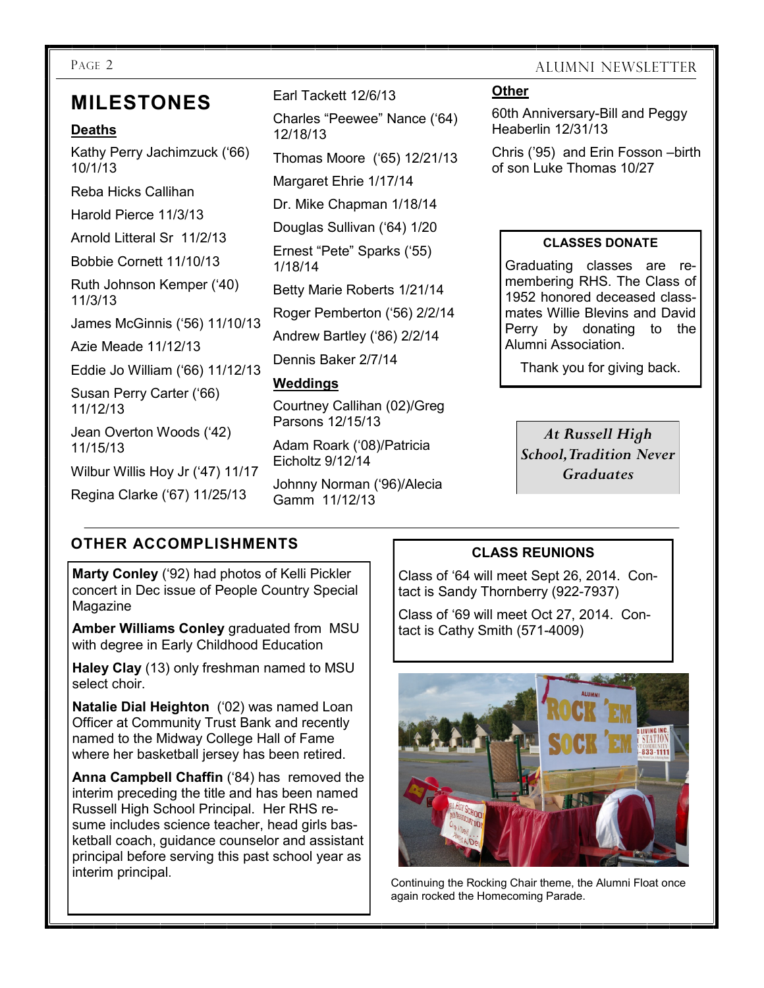# **MILESTONES**

### **Deaths**

Kathy Perry Jachimzuck ('66) 10/1/13

Reba Hicks Callihan

Harold Pierce 11/3/13

Arnold Litteral Sr 11/2/13

Bobbie Cornett 11/10/13

Ruth Johnson Kemper ('40) 11/3/13

James McGinnis ('56) 11/10/13

Azie Meade 11/12/13

Eddie Jo William ('66) 11/12/13

Susan Perry Carter ('66) 11/12/13

Jean Overton Woods ('42) 11/15/13

Wilbur Willis Hoy Jr ('47) 11/17

Regina Clarke ('67) 11/25/13

Earl Tackett 12/6/13

Charles "Peewee" Nance ('64) 12/18/13

Thomas Moore ('65) 12/21/13

Margaret Ehrie 1/17/14

Dr. Mike Chapman 1/18/14

Douglas Sullivan ('64) 1/20

Ernest "Pete" Sparks ('55) 1/18/14

Betty Marie Roberts 1/21/14

Roger Pemberton ('56) 2/2/14

Andrew Bartley ('86) 2/2/14

Dennis Baker 2/7/14

# **Weddings**

Courtney Callihan (02)/Greg Parsons 12/15/13

Adam Roark ('08)/Patricia Eicholtz 9/12/14

Johnny Norman ('96)/Alecia Gamm 11/12/13

# PAGE 2 ALUMNI NEWSLETTER

# **Other**

60th Anniversary-Bill and Peggy Heaberlin 12/31/13

Chris ('95) and Erin Fosson –birth of son Luke Thomas 10/27

#### **CLASSES DONATE**

Graduating classes are remembering RHS. The Class of 1952 honored deceased classmates Willie Blevins and David Perry by donating to the Alumni Association.

Thank you for giving back.

*At Russell High School, Tradition Never Graduates*

# **OTHER ACCOMPLISHMENTS**

**Marty Conley** ('92) had photos of Kelli Pickler concert in Dec issue of People Country Special Magazine

**Amber Williams Conley** graduated from MSU with degree in Early Childhood Education

**Haley Clay** (13) only freshman named to MSU select choir.

**Natalie Dial Heighton** ('02) was named Loan Officer at Community Trust Bank and recently named to the Midway College Hall of Fame where her basketball jersey has been retired.

**Anna Campbell Chaffin** ('84) has removed the interim preceding the title and has been named Russell High School Principal. Her RHS resume includes science teacher, head girls basketball coach, guidance counselor and assistant principal before serving this past school year as interim principal.

# **CLASS REUNIONS**

Class of '64 will meet Sept 26, 2014. Contact is Sandy Thornberry (922-7937)

Class of '69 will meet Oct 27, 2014. Contact is Cathy Smith (571-4009)



Continuing the Rocking Chair theme, the Alumni Float once again rocked the Homecoming Parade.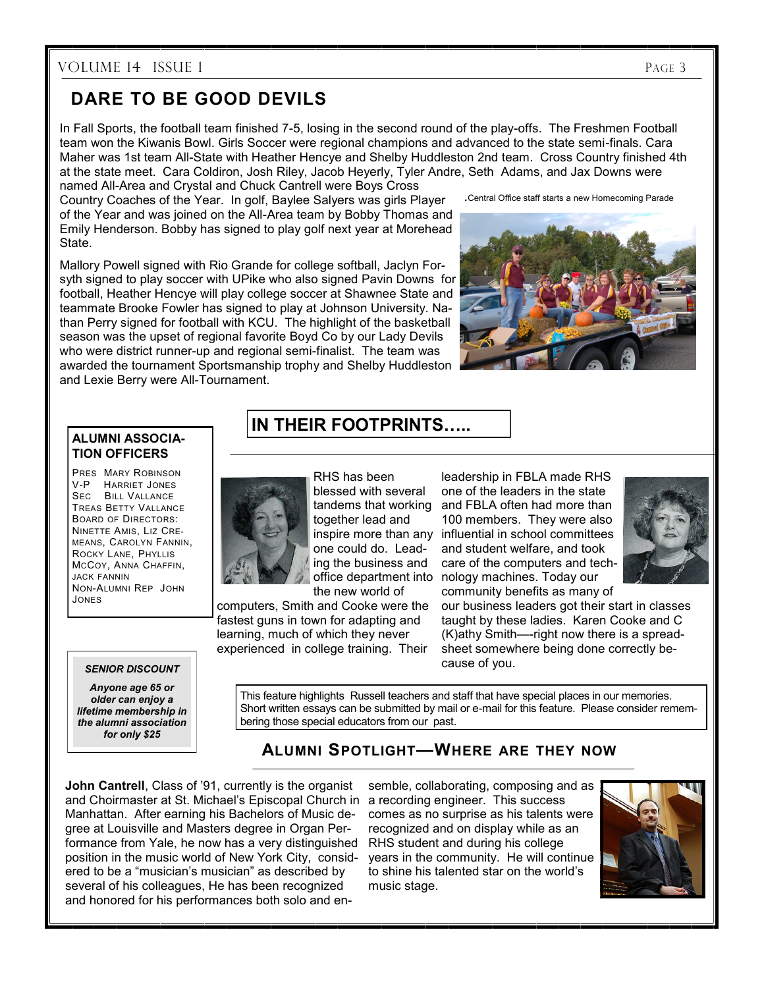### VOLUME 14 ISSUE 1 PAGE 3

# **DARE TO BE GOOD DEVILS**

In Fall Sports, the football team finished 7-5, losing in the second round of the play-offs. The Freshmen Football team won the Kiwanis Bowl. Girls Soccer were regional champions and advanced to the state semi-finals. Cara Maher was 1st team All-State with Heather Hencye and Shelby Huddleston 2nd team. Cross Country finished 4th at the state meet. Cara Coldiron, Josh Riley, Jacob Heyerly, Tyler Andre, Seth Adams, and Jax Downs were named All-Area and Crystal and Chuck Cantrell were Boys Cross

Country Coaches of the Year. In golf, Baylee Salyers was girls Player of the Year and was joined on the All-Area team by Bobby Thomas and Emily Henderson. Bobby has signed to play golf next year at Morehead State.

Mallory Powell signed with Rio Grande for college softball, Jaclyn Forsyth signed to play soccer with UPike who also signed Pavin Downs for football, Heather Hencye will play college soccer at Shawnee State and teammate Brooke Fowler has signed to play at Johnson University. Nathan Perry signed for football with KCU. The highlight of the basketball season was the upset of regional favorite Boyd Co by our Lady Devils who were district runner-up and regional semi-finalist. The team was awarded the tournament Sportsmanship trophy and Shelby Huddleston and Lexie Berry were All-Tournament.

.Central Office staff starts a new Homecoming Parade



#### **ALUMNI ASSOCIA-TION OFFICERS**

PRES MARY ROBINSON V-P HARRIET JONES SEC BILL VALLANCE TREAS BETTY VALLANCE BOARD OF DIRECTORS: NINETTE AMIS, LIZ CRE-MEANS, CAROLYN FANNIN, ROCKY LANE, PHYLLIS MCCOY, ANNA CHAFFIN, JACK FANNIN NON-ALUMNI REP JOHN JONES

#### *SENIOR DISCOUNT*

*Anyone age 65 or older can enjoy a lifetime membership in the alumni association for only \$25*

# **IN THEIR FOOTPRINTS…..**



RHS has been blessed with several together lead and one could do. Leading the business and the new world of

computers, Smith and Cooke were the fastest guns in town for adapting and learning, much of which they never experienced in college training. Their

tandems that working and FBLA often had more than inspire more than any influential in school committees office department into nology machines. Today our leadership in FBLA made RHS one of the leaders in the state 100 members. They were also and student welfare, and took care of the computers and techcommunity benefits as many of



our business leaders got their start in classes taught by these ladies. Karen Cooke and C (K)athy Smith—-right now there is a spreadsheet somewhere being done correctly because of you.

This feature highlights Russell teachers and staff that have special places in our memories. Short written essays can be submitted by mail or e-mail for this feature. Please consider remembering those special educators from our past.

# **ALUMNI SPOTLIGHT—WHERE ARE THEY NOW**

and Choirmaster at St. Michael's Episcopal Church in a recording engineer. This success **John Cantrell**, Class of '91, currently is the organist Manhattan. After earning his Bachelors of Music degree at Louisville and Masters degree in Organ Performance from Yale, he now has a very distinguished position in the music world of New York City, considered to be a "musician's musician" as described by several of his colleagues, He has been recognized and honored for his performances both solo and en-

semble, collaborating, composing and as comes as no surprise as his talents were recognized and on display while as an RHS student and during his college years in the community. He will continue to shine his talented star on the world's music stage.